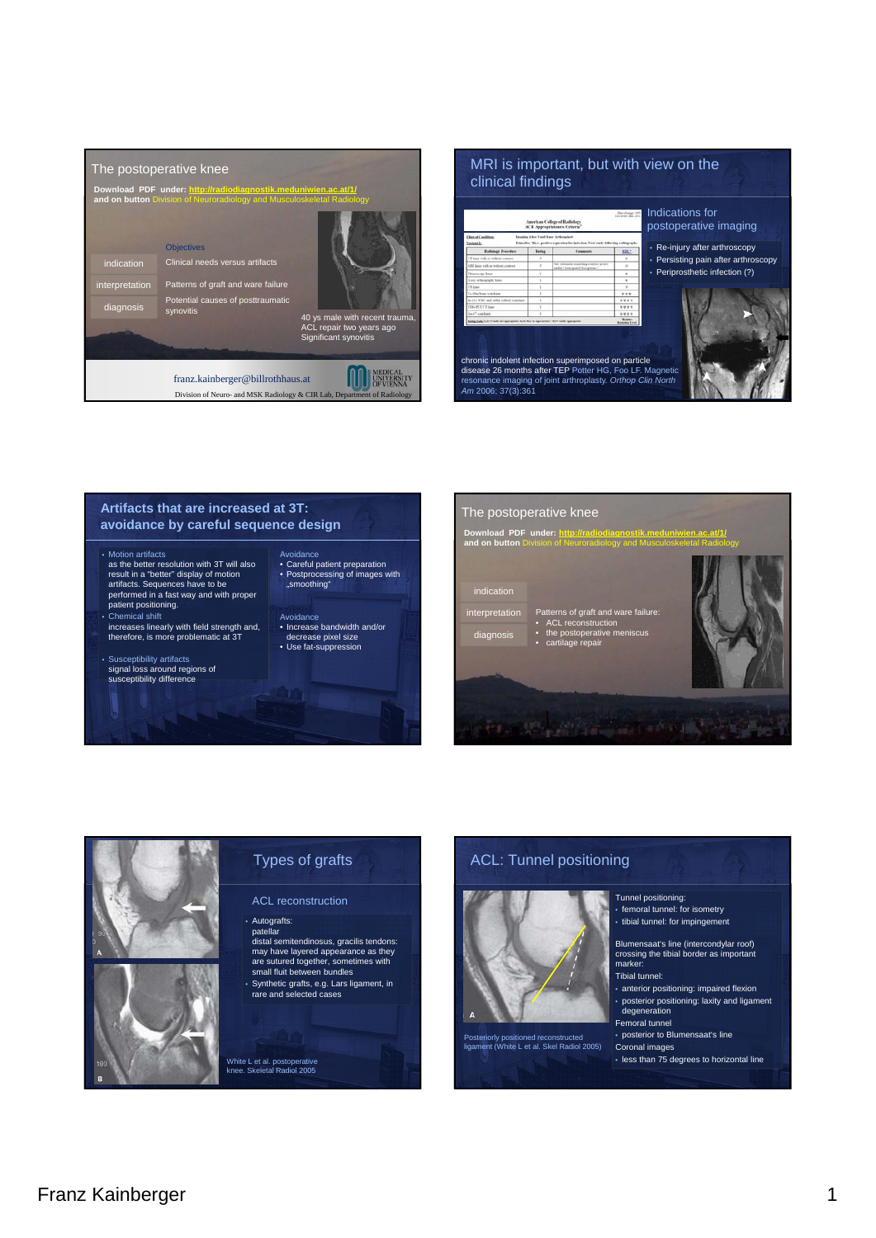

## MRI is important, but with view on the clinical findings

| Chair of Condition:<br>Yatimit.E.                                              |               | Imaging After Tutal Kass Arthroplasts<br>Pain after TKA: positive aspiration for infection. Next study following radiagonals. |                                              |           |
|--------------------------------------------------------------------------------|---------------|-------------------------------------------------------------------------------------------------------------------------------|----------------------------------------------|-----------|
| <b>Radiologic Precedure</b>                                                    | <b>Bating</b> | Comments                                                                                                                      | <b>REL-</b>                                  | • Re-inji |
| CT kase with or without contrast                                               | ٠             |                                                                                                                               | ٠                                            | • Persis  |
| MRI kant with or well-set coamust                                              | ٠             | her statement reporting contract in test<br>sale "Artclored Exceptions"                                                       | $\alpha$                                     |           |
| Floorneyer knot                                                                |               |                                                                                                                               | ٠                                            | • Peripro |
| <b>X-arc</b> setteramely lase                                                  |               |                                                                                                                               | ٠                                            |           |
| <b>E19 Blood</b>                                                               |               |                                                                                                                               | $\sim$                                       |           |
| To 50m from was know                                                           |               |                                                                                                                               | $+ + +$                                      |           |
| In (11 WW) and solite collision was know                                       |               |                                                                                                                               | ****                                         |           |
| <b>ITALISTAT Inne</b>                                                          |               |                                                                                                                               | ****                                         |           |
| GA47 scan have                                                                 |               |                                                                                                                               | ****                                         |           |
| Exter high 1.13 Until air appraises 4.54 Nor by approxime. "APT with approxime |               |                                                                                                                               | <b>Stationary</b><br><b>Reduction Europe</b> |           |
|                                                                                |               | chronic indolent infection superimposed on particle                                                                           |                                              |           |

*Am* 2006; 37(3):361



#### **Artifacts that are increased at 3T: avoidance by careful sequence design**

#### • Motion artifacts

as the better resolution with 3T will also result in a "better" display of motion artifacts. Sequences have to be performed in a fast way and with proper patient positioning.

#### • Chemical shift

- increases linearly with field strength and, therefore, is more problematic at 3T
- Susceptibility artifacts signal loss around regions of susceptibility difference
- Avoidance • Careful patient preparation • Postprocessing of images with "smoothing"
- Avoidance Increase bandwidth and/or decrease pixel size • Use fat-suppression
- The postoperative knee **Download PDF under: http://radiodiagnostik.meduniwien.ac.at/1/ and on button** Division of Neuroradiology and Musculoskeletal Radiology indication interpretation Patterns of graft and ware failure: • ACL reconstruction diagnosis the post • cartilage repair **JE MARTIN AND DEST**



## ACL: Tunnel positioning



Posteriorly positioned reconstructed ligament (White L et al. Skel Radiol 2005)

Tunnel positioning: • femoral tunnel: for isometry • tibial tunnel: for impingement

Blumensaat's line (intercondylar roof) crossing the tibial border as important marker: Tibial tunnel:

• anterior positioning: impaired flexion • posterior positioning: laxity and ligament degeneration

Femoral tunnel

• posterior to Blumensaat's line Coronal images

• less than 75 degrees to horizontal line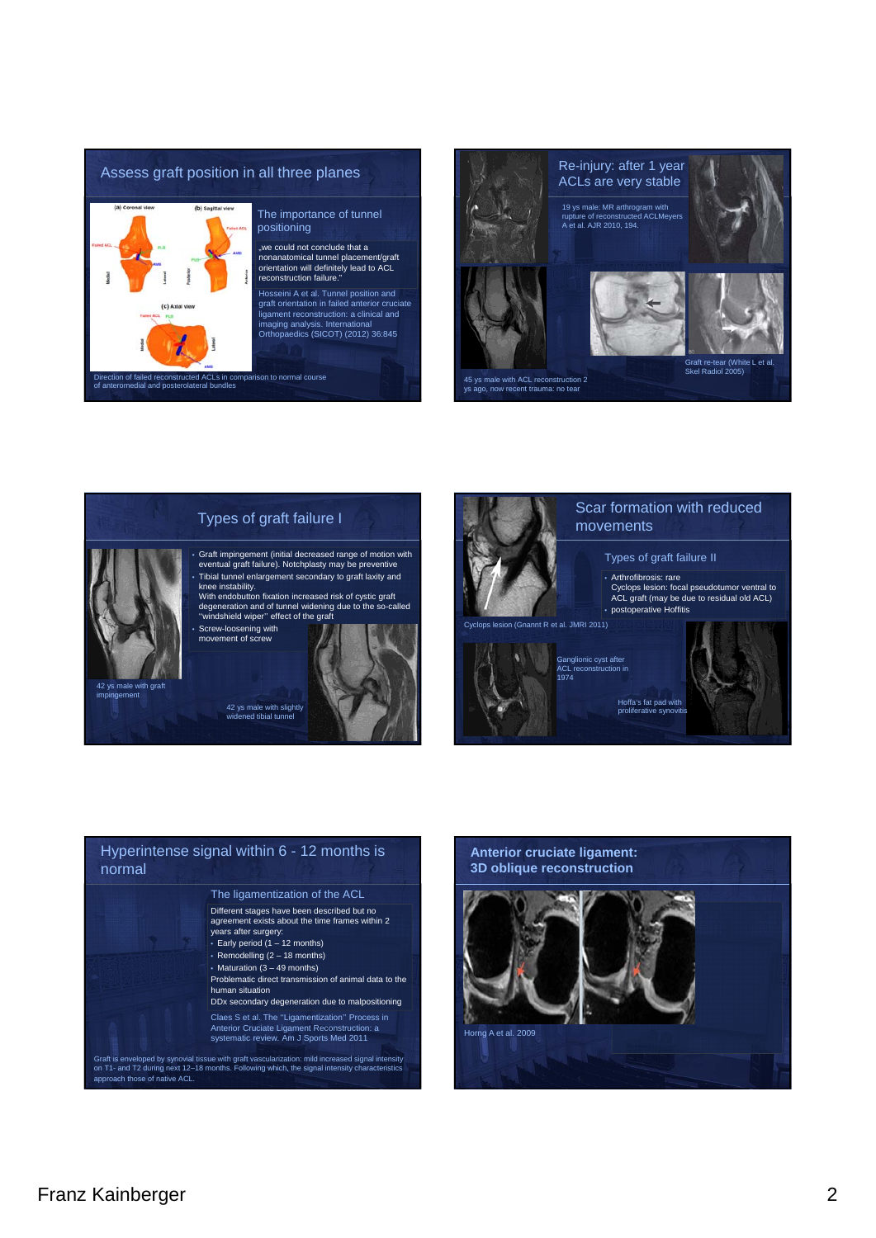

# The importance of tunnel

, we could not conclude that a nonanatomical tunnel placement/graft orientation will definitely lead to ACL

graft orientation in failed anterior cruciate ligament reconstruction: a clinical and imaging analysis. International Orthopaedics (SICOT) (2012) 36:845





impingement

#### Types of graft failure I

• Graft impingement (initial decreased range of motion with eventual graft failure). Notchplasty may be preventive • Tibial tunnel enlargement secondary to graft laxity and knee instability.

With endobutton fixation increased risk of cystic graft degeneration and of tunnel widening due to the so-called ''windshield wiper'' effect of the graft

42 ys male with slightly widened tibial tunnel



### Scar formation with reduced movements

#### Types of graft failure II

• Arthrofibrosis: rare Cyclops lesion: focal pseudotumor ventral to ACL graft (may be due to residual old ACL) • postoperative Hoffitis

Cyclops lesion (Gnannt R et al. JMRI 2011)



Hoffa's fat pad with proliferative synovitis Ganglionic cyst after ACL reconstruction in 1974



#### Hyperintense signal within 6 - 12 months is normal Different stages have been described but no agreement exists about the time frames within 2 years after surgery: • Early period (1 – 12 months) • Remodelling (2 - 18 months) • Maturation (3 – 49 months) Problematic direct transmission of animal data to the human situation DDx secondary degeneration due to malpositioning Claes S et al. The ''Ligamentization'' Process in Anterior Cruciate Ligament Reconstruction: a systematic review. Am J Sports Med 2011 The ligamentization of the ACL

Graft is enveloped by synovial tissue with graft vascularization: mild increased signal intensity on T1- and T2 during next 12–18 months. Following which, the signal intensity characteristics approach those of native ACL.

# **Anterior cruciate ligament: 3D oblique reconstruction** Horng A et al. 2009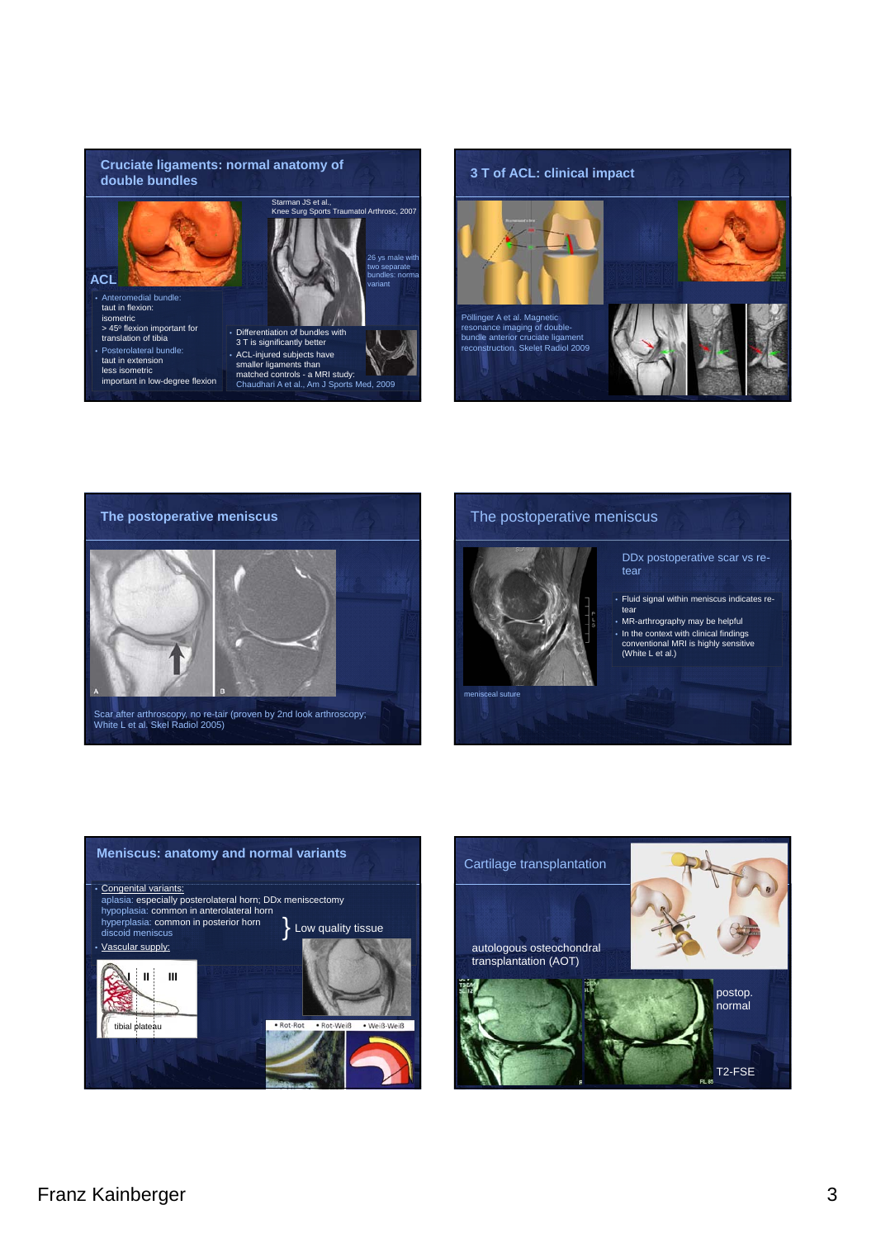





#### The postoperative meniscus



#### DDx postoperative scar vs retear

- Fluid signal within meniscus indicates retear
- MR-arthrography may be helpful • In the context with clinical findings conventional MRI is highly sensitive (White L et al.)



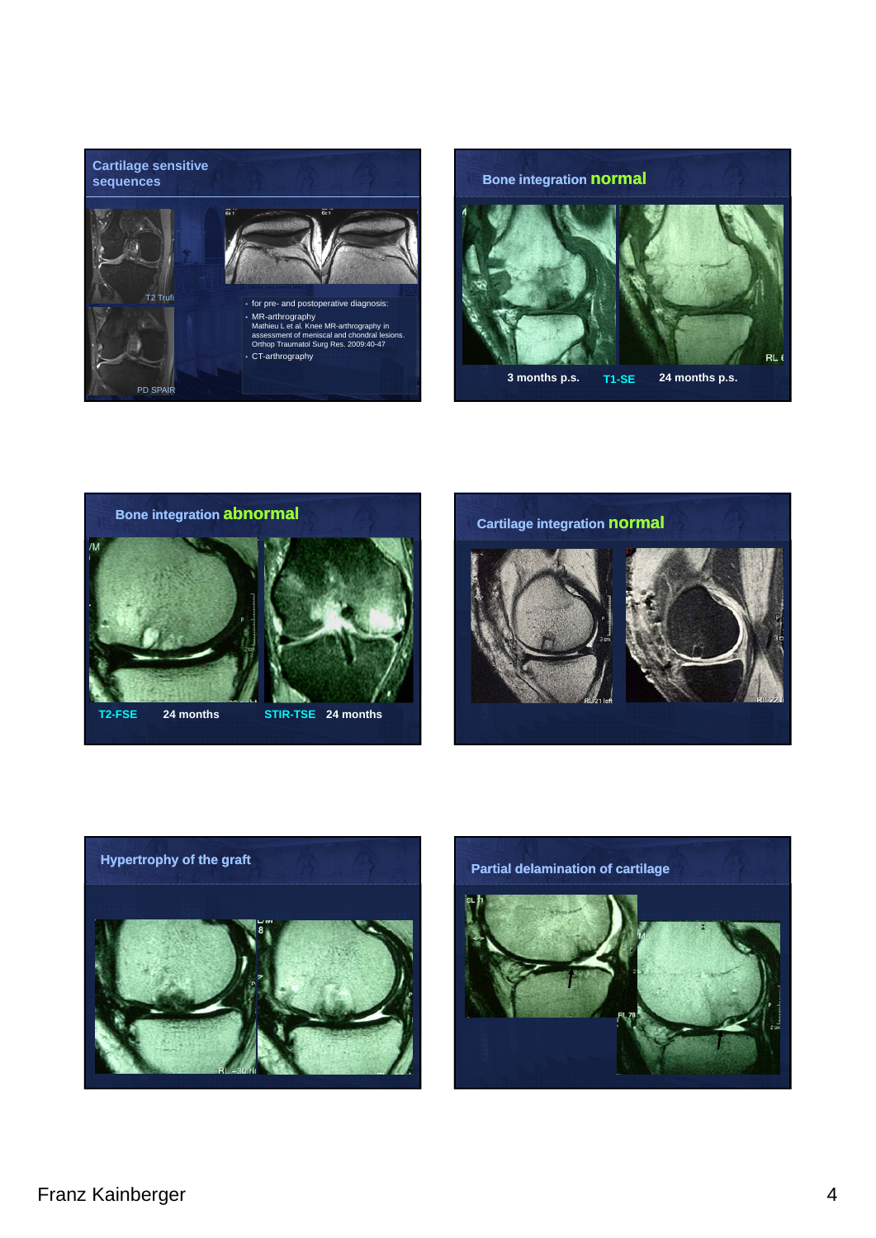